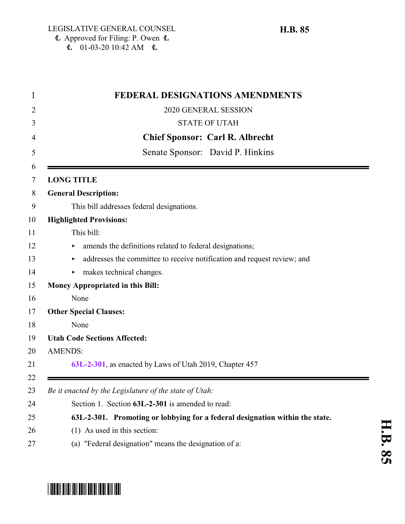| <b>FEDERAL DESIGNATIONS AMENDMENTS</b>                                       |
|------------------------------------------------------------------------------|
| 2020 GENERAL SESSION                                                         |
| <b>STATE OF UTAH</b>                                                         |
| <b>Chief Sponsor: Carl R. Albrecht</b>                                       |
| Senate Sponsor: David P. Hinkins                                             |
| <b>LONG TITLE</b>                                                            |
| <b>General Description:</b>                                                  |
| This bill addresses federal designations.                                    |
| <b>Highlighted Provisions:</b>                                               |
| This bill:                                                                   |
| amends the definitions related to federal designations;<br>▶                 |
| addresses the committee to receive notification and request review; and<br>▶ |
| makes technical changes.                                                     |
| <b>Money Appropriated in this Bill:</b>                                      |
| None                                                                         |
| <b>Other Special Clauses:</b>                                                |
| None                                                                         |
| <b>Utah Code Sections Affected:</b>                                          |
| <b>AMENDS:</b>                                                               |
| 63L-2-301, as enacted by Laws of Utah 2019, Chapter 457                      |
| Be it enacted by the Legislature of the state of Utah:                       |
| Section 1. Section 63L-2-301 is amended to read:                             |
| 63L-2-301. Promoting or lobbying for a federal designation within the state. |
| $(1)$ As used in this section:                                               |
| (a) "Federal designation" means the designation of a:                        |

## <span id="page-0-0"></span>\*HB0085\*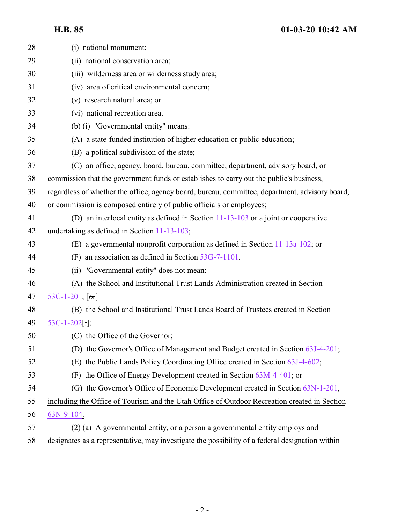## **H.B. 85 01-03-20 10:42 AM**

| 28 | (i) national monument;                                                                          |
|----|-------------------------------------------------------------------------------------------------|
| 29 | (ii) national conservation area;                                                                |
| 30 | (iii) wilderness area or wilderness study area;                                                 |
| 31 | (iv) area of critical environmental concern;                                                    |
| 32 | (v) research natural area; or                                                                   |
| 33 | (vi) national recreation area.                                                                  |
| 34 | (b) (i) "Governmental entity" means:                                                            |
| 35 | (A) a state-funded institution of higher education or public education;                         |
| 36 | (B) a political subdivision of the state;                                                       |
| 37 | (C) an office, agency, board, bureau, committee, department, advisory board, or                 |
| 38 | commission that the government funds or establishes to carry out the public's business,         |
| 39 | regardless of whether the office, agency board, bureau, committee, department, advisory board,  |
| 40 | or commission is composed entirely of public officials or employees;                            |
| 41 | (D) an interlocal entity as defined in Section $11-13-103$ or a joint or cooperative            |
| 42 | undertaking as defined in Section 11-13-103;                                                    |
| 43 | (E) a governmental nonprofit corporation as defined in Section 11-13a-102; or                   |
| 44 | an association as defined in Section 53G-7-1101.<br>(F)                                         |
| 45 | (ii) "Governmental entity" does not mean:                                                       |
| 46 | (A) the School and Institutional Trust Lands Administration created in Section                  |
| 47 | 53C-1-201; $[or]$                                                                               |
| 48 | (B) the School and Institutional Trust Lands Board of Trustees created in Section               |
| 49 | $53C-1-202$ [.];                                                                                |
| 50 | (C) the Office of the Governor;                                                                 |
| 51 | (D) the Governor's Office of Management and Budget created in Section 63J-4-201;                |
| 52 | the Public Lands Policy Coordinating Office created in Section 63J-4-602;<br>(E)                |
| 53 | the Office of Energy Development created in Section 63M-4-401; or<br>(F)                        |
| 54 | (G) the Governor's Office of Economic Development created in Section 63N-1-201,                 |
| 55 | including the Office of Tourism and the Utah Office of Outdoor Recreation created in Section    |
| 56 | 63N-9-104.                                                                                      |
| 57 | (2) (a) A governmental entity, or a person a governmental entity employs and                    |
| 58 | designates as a representative, may investigate the possibility of a federal designation within |